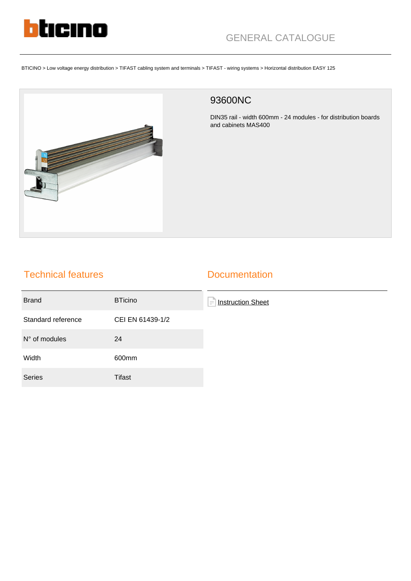

BTICINO > Low voltage energy distribution > TIFAST cabling system and terminals > TIFAST - wiring systems > Horizontal distribution EASY 125



## 93600NC

DIN35 rail - width 600mm - 24 modules - for distribution boards and cabinets MAS400

## Technical features

## **Documentation**

| <b>Brand</b>           | <b>BTicino</b>   | F<br><b>Instruction Sheet</b> |
|------------------------|------------------|-------------------------------|
| Standard reference     | CEI EN 61439-1/2 |                               |
| $N^{\circ}$ of modules | 24               |                               |
| Width                  | 600mm            |                               |
| <b>Series</b>          | Tifast           |                               |